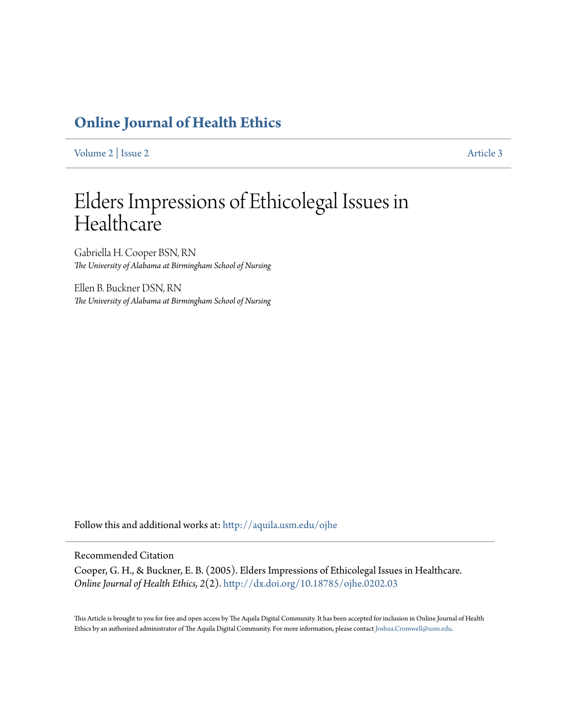# **[Online Journal of Health Ethics](http://aquila.usm.edu/ojhe?utm_source=aquila.usm.edu%2Fojhe%2Fvol2%2Fiss2%2F3&utm_medium=PDF&utm_campaign=PDFCoverPages)**

[Volume 2](http://aquila.usm.edu/ojhe/vol2?utm_source=aquila.usm.edu%2Fojhe%2Fvol2%2Fiss2%2F3&utm_medium=PDF&utm_campaign=PDFCoverPages) | [Issue 2](http://aquila.usm.edu/ojhe/vol2/iss2?utm_source=aquila.usm.edu%2Fojhe%2Fvol2%2Fiss2%2F3&utm_medium=PDF&utm_campaign=PDFCoverPages) [Article 3](http://aquila.usm.edu/ojhe/vol2/iss2/3?utm_source=aquila.usm.edu%2Fojhe%2Fvol2%2Fiss2%2F3&utm_medium=PDF&utm_campaign=PDFCoverPages)

# Elders Impressions of Ethicolegal Issues in **Healthcare**

Gabriella H. Cooper BSN, RN *The University of Alabama at Birmingham School of Nursing*

Ellen B. Buckner DSN, RN *The University of Alabama at Birmingham School of Nursing*

Follow this and additional works at: [http://aquila.usm.edu/ojhe](http://aquila.usm.edu/ojhe?utm_source=aquila.usm.edu%2Fojhe%2Fvol2%2Fiss2%2F3&utm_medium=PDF&utm_campaign=PDFCoverPages)

#### Recommended Citation

Cooper, G. H., & Buckner, E. B. (2005). Elders Impressions of Ethicolegal Issues in Healthcare. *Online Journal of Health Ethics, 2*(2). <http://dx.doi.org/10.18785/ojhe.0202.03>

This Article is brought to you for free and open access by The Aquila Digital Community. It has been accepted for inclusion in Online Journal of Health Ethics by an authorized administrator of The Aquila Digital Community. For more information, please contact [Joshua.Cromwell@usm.edu.](mailto:Joshua.Cromwell@usm.edu)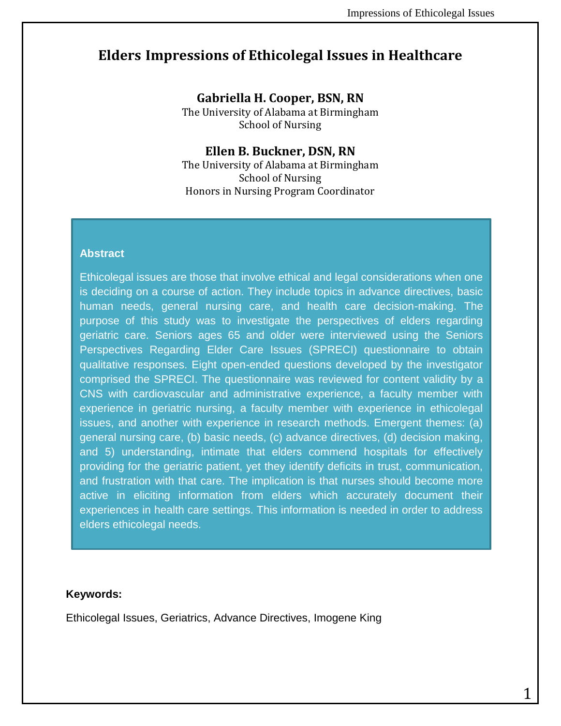# **Elders Impressions of Ethicolegal Issues in Healthcare**

**Gabriella H. Cooper, BSN, RN**

The University of Alabama at Birmingham School of Nursing

#### **Ellen B. Buckner, DSN, RN**

The University of Alabama at Birmingham School of Nursing Honors in Nursing Program Coordinator

#### **Abstract**

Ethicolegal issues are those that involve ethical and legal considerations when one is deciding on a course of action. They include topics in advance directives, basic human needs, general nursing care, and health care decision-making. The purpose of this study was to investigate the perspectives of elders regarding geriatric care. Seniors ages 65 and older were interviewed using the Seniors Perspectives Regarding Elder Care Issues (SPRECI) questionnaire to obtain qualitative responses. Eight open-ended questions developed by the investigator comprised the SPRECI. The questionnaire was reviewed for content validity by a CNS with cardiovascular and administrative experience, a faculty member with experience in geriatric nursing, a faculty member with experience in ethicolegal issues, and another with experience in research methods. Emergent themes: (a) general nursing care, (b) basic needs, (c) advance directives, (d) decision making, and 5) understanding, intimate that elders commend hospitals for effectively providing for the geriatric patient, yet they identify deficits in trust, communication, and frustration with that care. The implication is that nurses should become more active in eliciting information from elders which accurately document their experiences in health care settings. This information is needed in order to address elders ethicolegal needs.

#### **Keywords:**

Ethicolegal Issues, Geriatrics, Advance Directives, Imogene King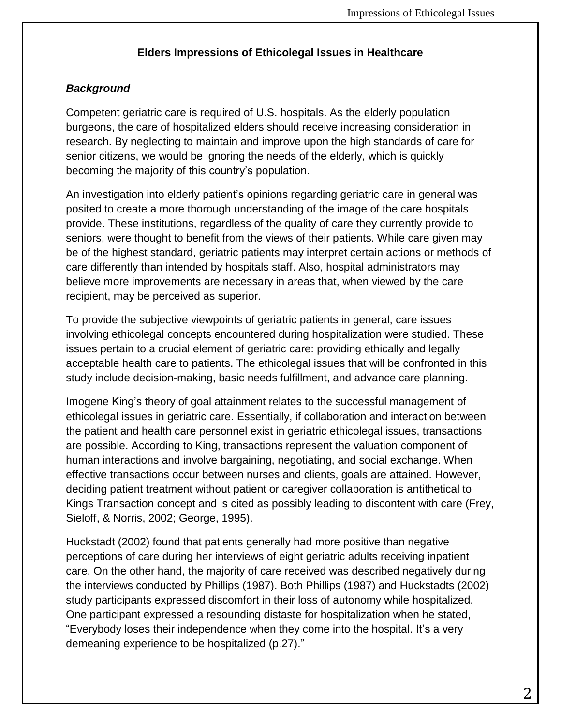## **Elders Impressions of Ethicolegal Issues in Healthcare**

# *Background*

Competent geriatric care is required of U.S. hospitals. As the elderly population burgeons, the care of hospitalized elders should receive increasing consideration in research. By neglecting to maintain and improve upon the high standards of care for senior citizens, we would be ignoring the needs of the elderly, which is quickly becoming the majority of this country's population.

An investigation into elderly patient's opinions regarding geriatric care in general was posited to create a more thorough understanding of the image of the care hospitals provide. These institutions, regardless of the quality of care they currently provide to seniors, were thought to benefit from the views of their patients. While care given may be of the highest standard, geriatric patients may interpret certain actions or methods of care differently than intended by hospitals staff. Also, hospital administrators may believe more improvements are necessary in areas that, when viewed by the care recipient, may be perceived as superior.

To provide the subjective viewpoints of geriatric patients in general, care issues involving ethicolegal concepts encountered during hospitalization were studied. These issues pertain to a crucial element of geriatric care: providing ethically and legally acceptable health care to patients. The ethicolegal issues that will be confronted in this study include decision-making, basic needs fulfillment, and advance care planning.

Imogene King's theory of goal attainment relates to the successful management of ethicolegal issues in geriatric care. Essentially, if collaboration and interaction between the patient and health care personnel exist in geriatric ethicolegal issues, transactions are possible. According to King, transactions represent the valuation component of human interactions and involve bargaining, negotiating, and social exchange. When effective transactions occur between nurses and clients, goals are attained. However, deciding patient treatment without patient or caregiver collaboration is antithetical to Kings Transaction concept and is cited as possibly leading to discontent with care (Frey, Sieloff, & Norris, 2002; George, 1995).

Huckstadt (2002) found that patients generally had more positive than negative perceptions of care during her interviews of eight geriatric adults receiving inpatient care. On the other hand, the majority of care received was described negatively during the interviews conducted by Phillips (1987). Both Phillips (1987) and Huckstadts (2002) study participants expressed discomfort in their loss of autonomy while hospitalized. One participant expressed a resounding distaste for hospitalization when he stated, "Everybody loses their independence when they come into the hospital. It's a very demeaning experience to be hospitalized (p.27)."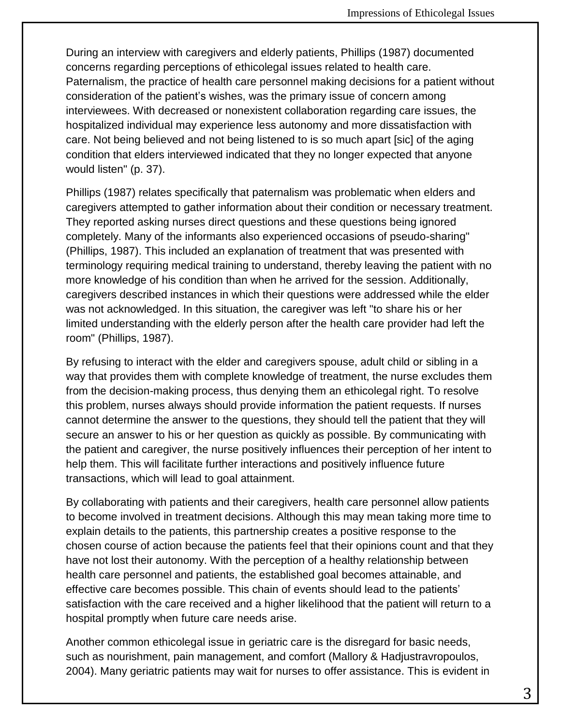During an interview with caregivers and elderly patients, Phillips (1987) documented concerns regarding perceptions of ethicolegal issues related to health care. Paternalism, the practice of health care personnel making decisions for a patient without consideration of the patient's wishes, was the primary issue of concern among interviewees. With decreased or nonexistent collaboration regarding care issues, the hospitalized individual may experience less autonomy and more dissatisfaction with care. Not being believed and not being listened to is so much apart [sic] of the aging condition that elders interviewed indicated that they no longer expected that anyone would listen" (p. 37).

Phillips (1987) relates specifically that paternalism was problematic when elders and caregivers attempted to gather information about their condition or necessary treatment. They reported asking nurses direct questions and these questions being ignored completely. Many of the informants also experienced occasions of pseudo-sharing" (Phillips, 1987). This included an explanation of treatment that was presented with terminology requiring medical training to understand, thereby leaving the patient with no more knowledge of his condition than when he arrived for the session. Additionally, caregivers described instances in which their questions were addressed while the elder was not acknowledged. In this situation, the caregiver was left "to share his or her limited understanding with the elderly person after the health care provider had left the room" (Phillips, 1987).

By refusing to interact with the elder and caregivers spouse, adult child or sibling in a way that provides them with complete knowledge of treatment, the nurse excludes them from the decision-making process, thus denying them an ethicolegal right. To resolve this problem, nurses always should provide information the patient requests. If nurses cannot determine the answer to the questions, they should tell the patient that they will secure an answer to his or her question as quickly as possible. By communicating with the patient and caregiver, the nurse positively influences their perception of her intent to help them. This will facilitate further interactions and positively influence future transactions, which will lead to goal attainment.

By collaborating with patients and their caregivers, health care personnel allow patients to become involved in treatment decisions. Although this may mean taking more time to explain details to the patients, this partnership creates a positive response to the chosen course of action because the patients feel that their opinions count and that they have not lost their autonomy. With the perception of a healthy relationship between health care personnel and patients, the established goal becomes attainable, and effective care becomes possible. This chain of events should lead to the patients' satisfaction with the care received and a higher likelihood that the patient will return to a hospital promptly when future care needs arise.

Another common ethicolegal issue in geriatric care is the disregard for basic needs, such as nourishment, pain management, and comfort (Mallory & Hadjustravropoulos, 2004). Many geriatric patients may wait for nurses to offer assistance. This is evident in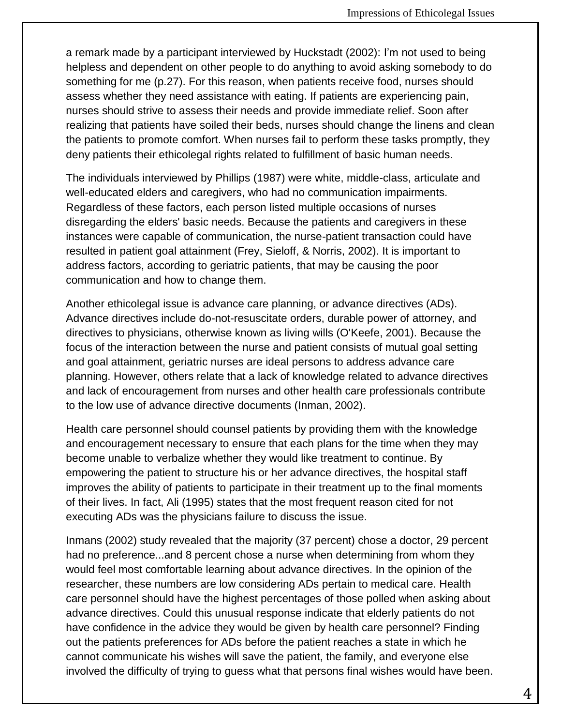a remark made by a participant interviewed by Huckstadt (2002): I'm not used to being helpless and dependent on other people to do anything to avoid asking somebody to do something for me (p.27). For this reason, when patients receive food, nurses should assess whether they need assistance with eating. If patients are experiencing pain, nurses should strive to assess their needs and provide immediate relief. Soon after realizing that patients have soiled their beds, nurses should change the linens and clean the patients to promote comfort. When nurses fail to perform these tasks promptly, they deny patients their ethicolegal rights related to fulfillment of basic human needs.

The individuals interviewed by Phillips (1987) were white, middle-class, articulate and well-educated elders and caregivers, who had no communication impairments. Regardless of these factors, each person listed multiple occasions of nurses disregarding the elders' basic needs. Because the patients and caregivers in these instances were capable of communication, the nurse-patient transaction could have resulted in patient goal attainment (Frey, Sieloff, & Norris, 2002). It is important to address factors, according to geriatric patients, that may be causing the poor communication and how to change them.

Another ethicolegal issue is advance care planning, or advance directives (ADs). Advance directives include do-not-resuscitate orders, durable power of attorney, and directives to physicians, otherwise known as living wills (O'Keefe, 2001). Because the focus of the interaction between the nurse and patient consists of mutual goal setting and goal attainment, geriatric nurses are ideal persons to address advance care planning. However, others relate that a lack of knowledge related to advance directives and lack of encouragement from nurses and other health care professionals contribute to the low use of advance directive documents (Inman, 2002).

Health care personnel should counsel patients by providing them with the knowledge and encouragement necessary to ensure that each plans for the time when they may become unable to verbalize whether they would like treatment to continue. By empowering the patient to structure his or her advance directives, the hospital staff improves the ability of patients to participate in their treatment up to the final moments of their lives. In fact, Ali (1995) states that the most frequent reason cited for not executing ADs was the physicians failure to discuss the issue.

Inmans (2002) study revealed that the majority (37 percent) chose a doctor, 29 percent had no preference...and 8 percent chose a nurse when determining from whom they would feel most comfortable learning about advance directives. In the opinion of the researcher, these numbers are low considering ADs pertain to medical care. Health care personnel should have the highest percentages of those polled when asking about advance directives. Could this unusual response indicate that elderly patients do not have confidence in the advice they would be given by health care personnel? Finding out the patients preferences for ADs before the patient reaches a state in which he cannot communicate his wishes will save the patient, the family, and everyone else involved the difficulty of trying to guess what that persons final wishes would have been.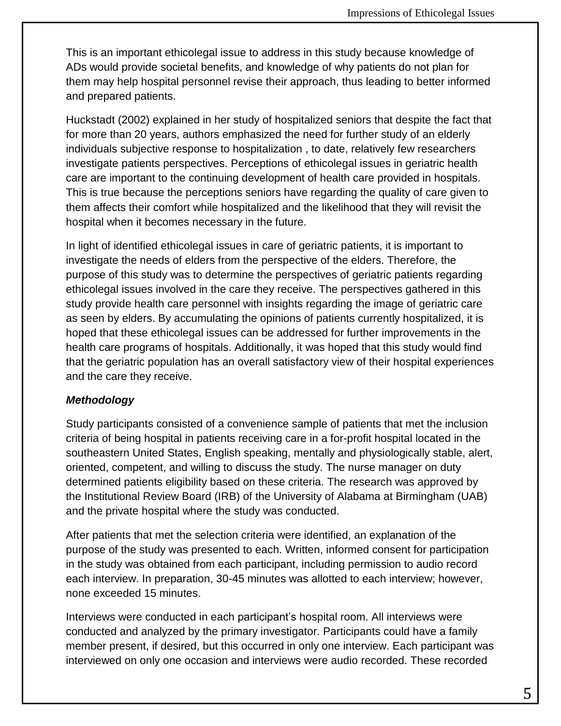This is an important ethicolegal issue to address in this study because knowledge of ADs would provide societal benefits, and knowledge of why patients do not plan for them may help hospital personnel revise their approach, thus leading to better informed and prepared patients.

Huckstadt (2002) explained in her study of hospitalized seniors that despite the fact that for more than 20 years, authors emphasized the need for further study of an elderly individuals subjective response to hospitalization , to date, relatively few researchers investigate patients perspectives. Perceptions of ethicolegal issues in geriatric health care are important to the continuing development of health care provided in hospitals. This is true because the perceptions seniors have regarding the quality of care given to them affects their comfort while hospitalized and the likelihood that they will revisit the hospital when it becomes necessary in the future.

In light of identified ethicolegal issues in care of geriatric patients, it is important to investigate the needs of elders from the perspective of the elders. Therefore, the purpose of this study was to determine the perspectives of geriatric patients regarding ethicolegal issues involved in the care they receive. The perspectives gathered in this study provide health care personnel with insights regarding the image of geriatric care as seen by elders. By accumulating the opinions of patients currently hospitalized, it is hoped that these ethicolegal issues can be addressed for further improvements in the health care programs of hospitals. Additionally, it was hoped that this study would find that the geriatric population has an overall satisfactory view of their hospital experiences and the care they receive.

#### *Methodology*

Study participants consisted of a convenience sample of patients that met the inclusion criteria of being hospital in patients receiving care in a for-profit hospital located in the southeastern United States, English speaking, mentally and physiologically stable, alert, oriented, competent, and willing to discuss the study. The nurse manager on duty determined patients eligibility based on these criteria. The research was approved by the Institutional Review Board (IRB) of the University of Alabama at Birmingham (UAB) and the private hospital where the study was conducted.

After patients that met the selection criteria were identified, an explanation of the purpose of the study was presented to each. Written, informed consent for participation in the study was obtained from each participant, including permission to audio record each interview. In preparation, 30-45 minutes was allotted to each interview; however, none exceeded 15 minutes.

Interviews were conducted in each participant's hospital room. All interviews were conducted and analyzed by the primary investigator. Participants could have a family member present, if desired, but this occurred in only one interview. Each participant was interviewed on only one occasion and interviews were audio recorded. These recorded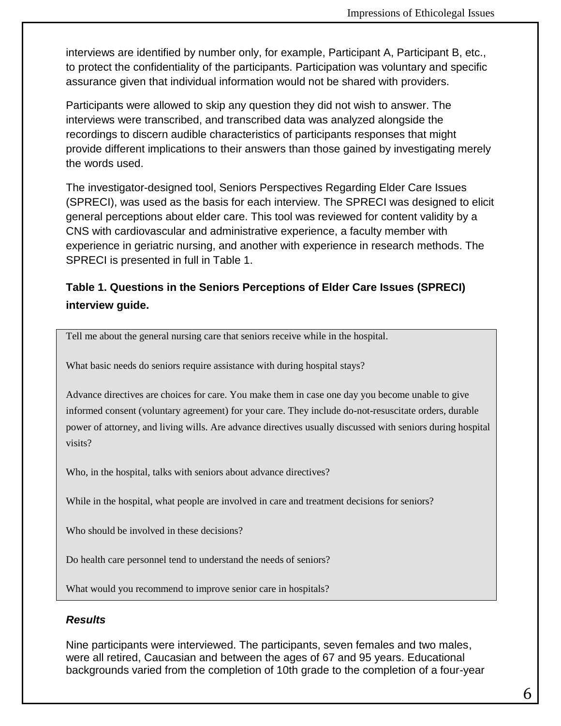interviews are identified by number only, for example, Participant A, Participant B, etc., to protect the confidentiality of the participants. Participation was voluntary and specific assurance given that individual information would not be shared with providers.

Participants were allowed to skip any question they did not wish to answer. The interviews were transcribed, and transcribed data was analyzed alongside the recordings to discern audible characteristics of participants responses that might provide different implications to their answers than those gained by investigating merely the words used.

The investigator-designed tool, Seniors Perspectives Regarding Elder Care Issues (SPRECI), was used as the basis for each interview. The SPRECI was designed to elicit general perceptions about elder care. This tool was reviewed for content validity by a CNS with cardiovascular and administrative experience, a faculty member with experience in geriatric nursing, and another with experience in research methods. The SPRECI is presented in full in Table 1.

# **Table 1. Questions in the Seniors Perceptions of Elder Care Issues (SPRECI) interview guide.**

Tell me about the general nursing care that seniors receive while in the hospital.

What basic needs do seniors require assistance with during hospital stays?

Advance directives are choices for care. You make them in case one day you become unable to give informed consent (voluntary agreement) for your care. They include do-not-resuscitate orders, durable power of attorney, and living wills. Are advance directives usually discussed with seniors during hospital visits?

Who, in the hospital, talks with seniors about advance directives?

While in the hospital, what people are involved in care and treatment decisions for seniors?

Who should be involved in these decisions?

Do health care personnel tend to understand the needs of seniors?

What would you recommend to improve senior care in hospitals?

#### *Results*

Nine participants were interviewed. The participants, seven females and two males, were all retired, Caucasian and between the ages of 67 and 95 years. Educational backgrounds varied from the completion of 10th grade to the completion of a four-year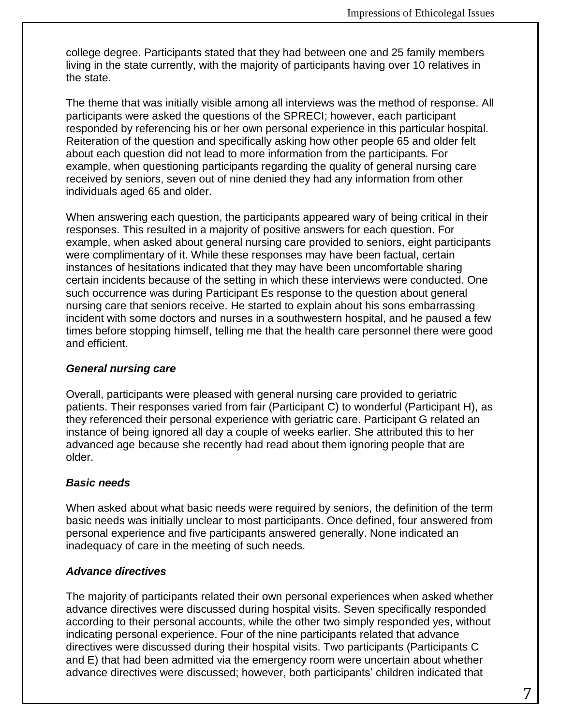college degree. Participants stated that they had between one and 25 family members living in the state currently, with the majority of participants having over 10 relatives in the state.

The theme that was initially visible among all interviews was the method of response. All participants were asked the questions of the SPRECI; however, each participant responded by referencing his or her own personal experience in this particular hospital. Reiteration of the question and specifically asking how other people 65 and older felt about each question did not lead to more information from the participants. For example, when questioning participants regarding the quality of general nursing care received by seniors, seven out of nine denied they had any information from other individuals aged 65 and older.

When answering each question, the participants appeared wary of being critical in their responses. This resulted in a majority of positive answers for each question. For example, when asked about general nursing care provided to seniors, eight participants were complimentary of it. While these responses may have been factual, certain instances of hesitations indicated that they may have been uncomfortable sharing certain incidents because of the setting in which these interviews were conducted. One such occurrence was during Participant Es response to the question about general nursing care that seniors receive. He started to explain about his sons embarrassing incident with some doctors and nurses in a southwestern hospital, and he paused a few times before stopping himself, telling me that the health care personnel there were good and efficient.

#### *General nursing care*

Overall, participants were pleased with general nursing care provided to geriatric patients. Their responses varied from fair (Participant C) to wonderful (Participant H), as they referenced their personal experience with geriatric care. Participant G related an instance of being ignored all day a couple of weeks earlier. She attributed this to her advanced age because she recently had read about them ignoring people that are older.

## *Basic needs*

When asked about what basic needs were required by seniors, the definition of the term basic needs was initially unclear to most participants. Once defined, four answered from personal experience and five participants answered generally. None indicated an inadequacy of care in the meeting of such needs.

## *Advance directives*

The majority of participants related their own personal experiences when asked whether advance directives were discussed during hospital visits. Seven specifically responded according to their personal accounts, while the other two simply responded yes, without indicating personal experience. Four of the nine participants related that advance directives were discussed during their hospital visits. Two participants (Participants C and E) that had been admitted via the emergency room were uncertain about whether advance directives were discussed; however, both participants' children indicated that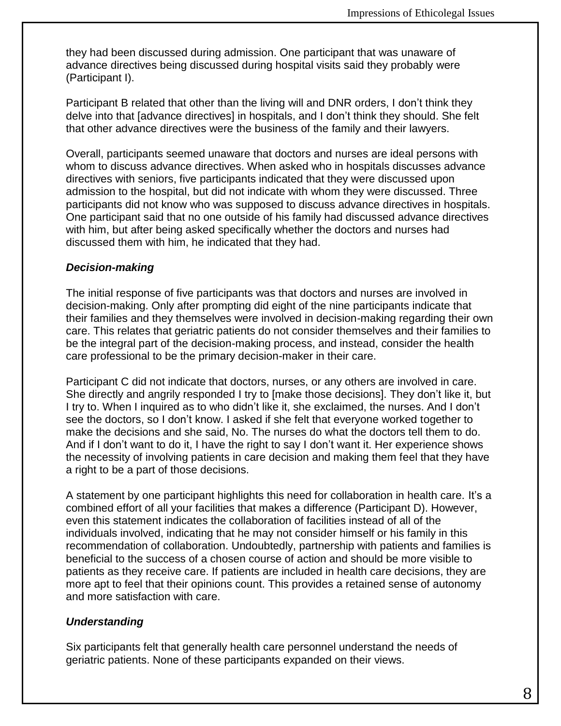they had been discussed during admission. One participant that was unaware of advance directives being discussed during hospital visits said they probably were (Participant I).

Participant B related that other than the living will and DNR orders, I don't think they delve into that [advance directives] in hospitals, and I don't think they should. She felt that other advance directives were the business of the family and their lawyers.

Overall, participants seemed unaware that doctors and nurses are ideal persons with whom to discuss advance directives. When asked who in hospitals discusses advance directives with seniors, five participants indicated that they were discussed upon admission to the hospital, but did not indicate with whom they were discussed. Three participants did not know who was supposed to discuss advance directives in hospitals. One participant said that no one outside of his family had discussed advance directives with him, but after being asked specifically whether the doctors and nurses had discussed them with him, he indicated that they had.

#### *Decision-making*

The initial response of five participants was that doctors and nurses are involved in decision-making. Only after prompting did eight of the nine participants indicate that their families and they themselves were involved in decision-making regarding their own care. This relates that geriatric patients do not consider themselves and their families to be the integral part of the decision-making process, and instead, consider the health care professional to be the primary decision-maker in their care.

Participant C did not indicate that doctors, nurses, or any others are involved in care. She directly and angrily responded I try to [make those decisions]. They don't like it, but I try to. When I inquired as to who didn't like it, she exclaimed, the nurses. And I don't see the doctors, so I don't know. I asked if she felt that everyone worked together to make the decisions and she said, No. The nurses do what the doctors tell them to do. And if I don't want to do it, I have the right to say I don't want it. Her experience shows the necessity of involving patients in care decision and making them feel that they have a right to be a part of those decisions.

A statement by one participant highlights this need for collaboration in health care. It's a combined effort of all your facilities that makes a difference (Participant D). However, even this statement indicates the collaboration of facilities instead of all of the individuals involved, indicating that he may not consider himself or his family in this recommendation of collaboration. Undoubtedly, partnership with patients and families is beneficial to the success of a chosen course of action and should be more visible to patients as they receive care. If patients are included in health care decisions, they are more apt to feel that their opinions count. This provides a retained sense of autonomy and more satisfaction with care.

#### *Understanding*

Six participants felt that generally health care personnel understand the needs of geriatric patients. None of these participants expanded on their views.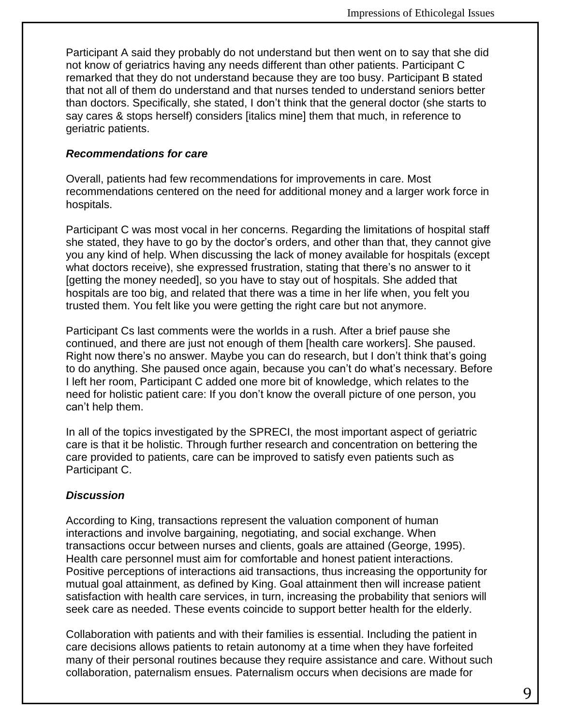Participant A said they probably do not understand but then went on to say that she did not know of geriatrics having any needs different than other patients. Participant C remarked that they do not understand because they are too busy. Participant B stated that not all of them do understand and that nurses tended to understand seniors better than doctors. Specifically, she stated, I don't think that the general doctor (she starts to say cares & stops herself) considers [italics mine] them that much, in reference to geriatric patients.

#### *Recommendations for care*

Overall, patients had few recommendations for improvements in care. Most recommendations centered on the need for additional money and a larger work force in hospitals.

Participant C was most vocal in her concerns. Regarding the limitations of hospital staff she stated, they have to go by the doctor's orders, and other than that, they cannot give you any kind of help. When discussing the lack of money available for hospitals (except what doctors receive), she expressed frustration, stating that there's no answer to it [getting the money needed], so you have to stay out of hospitals. She added that hospitals are too big, and related that there was a time in her life when, you felt you trusted them. You felt like you were getting the right care but not anymore.

Participant Cs last comments were the worlds in a rush. After a brief pause she continued, and there are just not enough of them [health care workers]. She paused. Right now there's no answer. Maybe you can do research, but I don't think that's going to do anything. She paused once again, because you can't do what's necessary. Before I left her room, Participant C added one more bit of knowledge, which relates to the need for holistic patient care: If you don't know the overall picture of one person, you can't help them.

In all of the topics investigated by the SPRECI, the most important aspect of geriatric care is that it be holistic. Through further research and concentration on bettering the care provided to patients, care can be improved to satisfy even patients such as Participant C.

#### *Discussion*

According to King, transactions represent the valuation component of human interactions and involve bargaining, negotiating, and social exchange. When transactions occur between nurses and clients, goals are attained (George, 1995). Health care personnel must aim for comfortable and honest patient interactions. Positive perceptions of interactions aid transactions, thus increasing the opportunity for mutual goal attainment, as defined by King. Goal attainment then will increase patient satisfaction with health care services, in turn, increasing the probability that seniors will seek care as needed. These events coincide to support better health for the elderly.

Collaboration with patients and with their families is essential. Including the patient in care decisions allows patients to retain autonomy at a time when they have forfeited many of their personal routines because they require assistance and care. Without such collaboration, paternalism ensues. Paternalism occurs when decisions are made for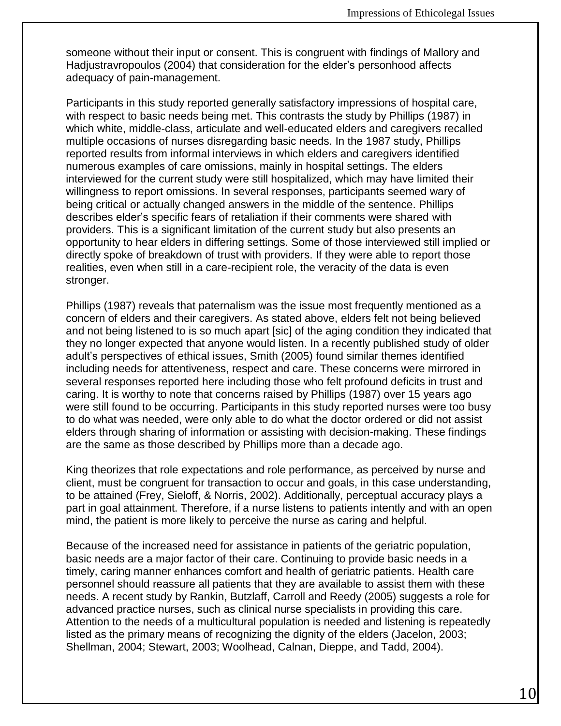someone without their input or consent. This is congruent with findings of Mallory and Hadjustravropoulos (2004) that consideration for the elder's personhood affects adequacy of pain-management.

Participants in this study reported generally satisfactory impressions of hospital care, with respect to basic needs being met. This contrasts the study by Phillips (1987) in which white, middle-class, articulate and well-educated elders and caregivers recalled multiple occasions of nurses disregarding basic needs. In the 1987 study, Phillips reported results from informal interviews in which elders and caregivers identified numerous examples of care omissions, mainly in hospital settings. The elders interviewed for the current study were still hospitalized, which may have limited their willingness to report omissions. In several responses, participants seemed wary of being critical or actually changed answers in the middle of the sentence. Phillips describes elder's specific fears of retaliation if their comments were shared with providers. This is a significant limitation of the current study but also presents an opportunity to hear elders in differing settings. Some of those interviewed still implied or directly spoke of breakdown of trust with providers. If they were able to report those realities, even when still in a care-recipient role, the veracity of the data is even stronger.

Phillips (1987) reveals that paternalism was the issue most frequently mentioned as a concern of elders and their caregivers. As stated above, elders felt not being believed and not being listened to is so much apart [sic] of the aging condition they indicated that they no longer expected that anyone would listen. In a recently published study of older adult's perspectives of ethical issues, Smith (2005) found similar themes identified including needs for attentiveness, respect and care. These concerns were mirrored in several responses reported here including those who felt profound deficits in trust and caring. It is worthy to note that concerns raised by Phillips (1987) over 15 years ago were still found to be occurring. Participants in this study reported nurses were too busy to do what was needed, were only able to do what the doctor ordered or did not assist elders through sharing of information or assisting with decision-making. These findings are the same as those described by Phillips more than a decade ago.

King theorizes that role expectations and role performance, as perceived by nurse and client, must be congruent for transaction to occur and goals, in this case understanding, to be attained (Frey, Sieloff, & Norris, 2002). Additionally, perceptual accuracy plays a part in goal attainment. Therefore, if a nurse listens to patients intently and with an open mind, the patient is more likely to perceive the nurse as caring and helpful.

Because of the increased need for assistance in patients of the geriatric population, basic needs are a major factor of their care. Continuing to provide basic needs in a timely, caring manner enhances comfort and health of geriatric patients. Health care personnel should reassure all patients that they are available to assist them with these needs. A recent study by Rankin, Butzlaff, Carroll and Reedy (2005) suggests a role for advanced practice nurses, such as clinical nurse specialists in providing this care. Attention to the needs of a multicultural population is needed and listening is repeatedly listed as the primary means of recognizing the dignity of the elders (Jacelon, 2003; Shellman, 2004; Stewart, 2003; Woolhead, Calnan, Dieppe, and Tadd, 2004).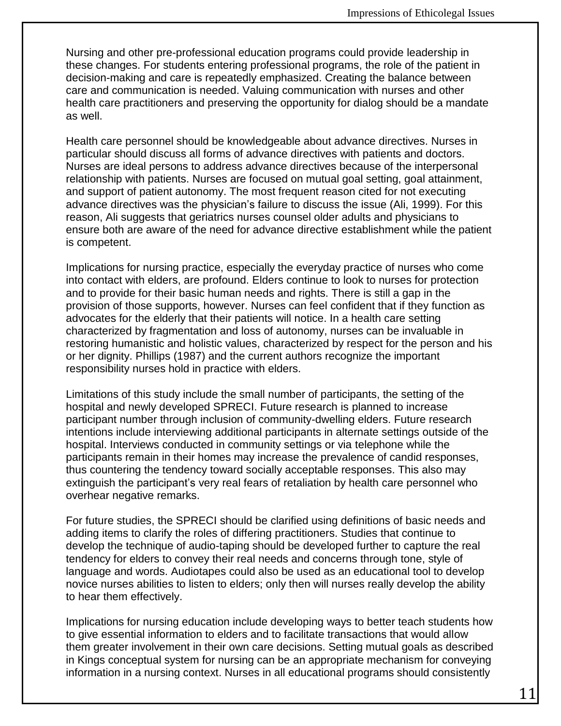Nursing and other pre-professional education programs could provide leadership in these changes. For students entering professional programs, the role of the patient in decision-making and care is repeatedly emphasized. Creating the balance between care and communication is needed. Valuing communication with nurses and other health care practitioners and preserving the opportunity for dialog should be a mandate as well.

Health care personnel should be knowledgeable about advance directives. Nurses in particular should discuss all forms of advance directives with patients and doctors. Nurses are ideal persons to address advance directives because of the interpersonal relationship with patients. Nurses are focused on mutual goal setting, goal attainment, and support of patient autonomy. The most frequent reason cited for not executing advance directives was the physician's failure to discuss the issue (Ali, 1999). For this reason, Ali suggests that geriatrics nurses counsel older adults and physicians to ensure both are aware of the need for advance directive establishment while the patient is competent.

Implications for nursing practice, especially the everyday practice of nurses who come into contact with elders, are profound. Elders continue to look to nurses for protection and to provide for their basic human needs and rights. There is still a gap in the provision of those supports, however. Nurses can feel confident that if they function as advocates for the elderly that their patients will notice. In a health care setting characterized by fragmentation and loss of autonomy, nurses can be invaluable in restoring humanistic and holistic values, characterized by respect for the person and his or her dignity. Phillips (1987) and the current authors recognize the important responsibility nurses hold in practice with elders.

Limitations of this study include the small number of participants, the setting of the hospital and newly developed SPRECI. Future research is planned to increase participant number through inclusion of community-dwelling elders. Future research intentions include interviewing additional participants in alternate settings outside of the hospital. Interviews conducted in community settings or via telephone while the participants remain in their homes may increase the prevalence of candid responses, thus countering the tendency toward socially acceptable responses. This also may extinguish the participant's very real fears of retaliation by health care personnel who overhear negative remarks.

For future studies, the SPRECI should be clarified using definitions of basic needs and adding items to clarify the roles of differing practitioners. Studies that continue to develop the technique of audio-taping should be developed further to capture the real tendency for elders to convey their real needs and concerns through tone, style of language and words. Audiotapes could also be used as an educational tool to develop novice nurses abilities to listen to elders; only then will nurses really develop the ability to hear them effectively.

Implications for nursing education include developing ways to better teach students how to give essential information to elders and to facilitate transactions that would allow them greater involvement in their own care decisions. Setting mutual goals as described in Kings conceptual system for nursing can be an appropriate mechanism for conveying information in a nursing context. Nurses in all educational programs should consistently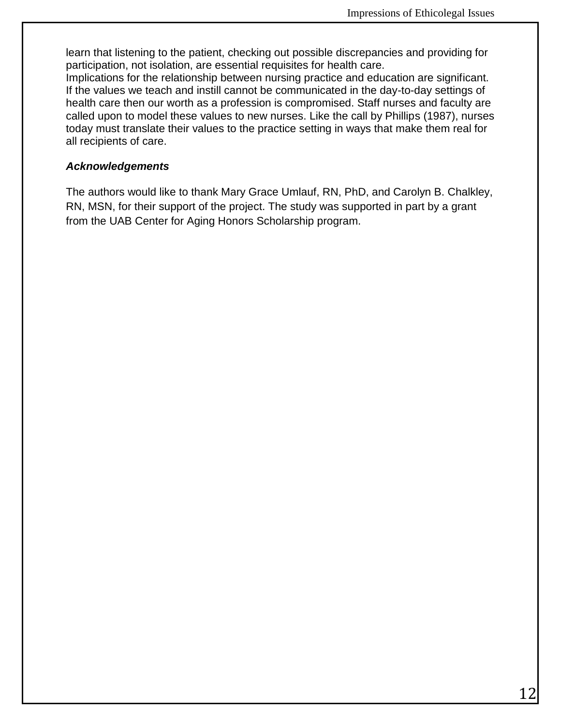learn that listening to the patient, checking out possible discrepancies and providing for participation, not isolation, are essential requisites for health care.

Implications for the relationship between nursing practice and education are significant. If the values we teach and instill cannot be communicated in the day-to-day settings of health care then our worth as a profession is compromised. Staff nurses and faculty are called upon to model these values to new nurses. Like the call by Phillips (1987), nurses today must translate their values to the practice setting in ways that make them real for all recipients of care.

#### *Acknowledgements*

The authors would like to thank Mary Grace Umlauf, RN, PhD, and Carolyn B. Chalkley, RN, MSN, for their support of the project. The study was supported in part by a grant from the UAB Center for Aging Honors Scholarship program.